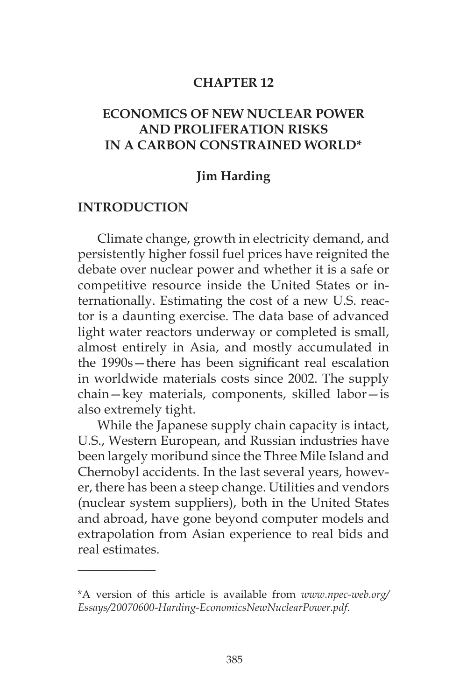#### **CHAPTER 12**

## **ECONOMICS OF NEW NUCLEAR POWER AND PROLIFERATION RISKS IN A CARBON CONSTRAINED WORLD\***

### **Jim Harding**

#### **INTRODUCTION**

 $\overline{\phantom{a}}$ 

Climate change, growth in electricity demand, and persistently higher fossil fuel prices have reignited the debate over nuclear power and whether it is a safe or competitive resource inside the United States or internationally. Estimating the cost of a new U.S. reactor is a daunting exercise. The data base of advanced light water reactors underway or completed is small, almost entirely in Asia, and mostly accumulated in the 1990s—there has been significant real escalation in worldwide materials costs since 2002. The supply chain—key materials, components, skilled labor—is also extremely tight.

While the Japanese supply chain capacity is intact, U.S., Western European, and Russian industries have been largely moribund since the Three Mile Island and Chernobyl accidents. In the last several years, however, there has been a steep change. Utilities and vendors (nuclear system suppliers), both in the United States and abroad, have gone beyond computer models and extrapolation from Asian experience to real bids and real estimates.

<sup>\*</sup>A version of this article is available from *www.npec-web.org/ Essays/20070600-Harding-EconomicsNewNuclearPower.pdf*.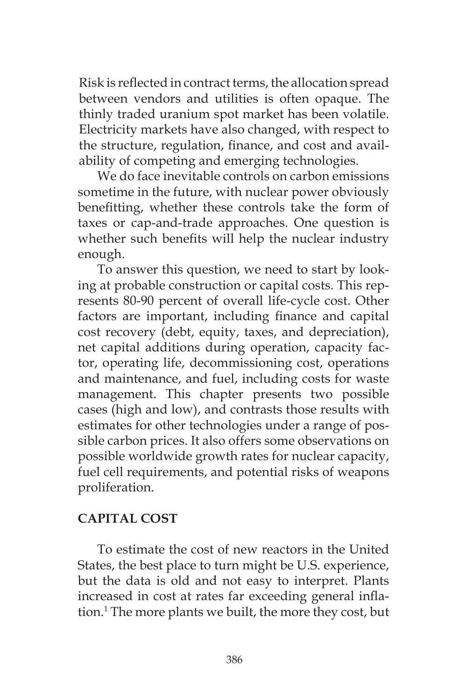Risk is reflected in contract terms, the allocation spread between vendors and utilities is often opaque. The thinly traded uranium spot market has been volatile. Electricity markets have also changed, with respect to the structure, regulation, finance, and cost and availability of competing and emerging technologies.

We do face inevitable controls on carbon emissions sometime in the future, with nuclear power obviously benefitting, whether these controls take the form of taxes or cap-and-trade approaches. One question is whether such benefits will help the nuclear industry enough.

To answer this question, we need to start by looking at probable construction or capital costs. This represents 80-90 percent of overall life-cycle cost. Other factors are important, including finance and capital cost recovery (debt, equity, taxes, and depreciation), net capital additions during operation, capacity factor, operating life, decommissioning cost, operations and maintenance, and fuel, including costs for waste management. This chapter presents two possible cases (high and low), and contrasts those results with estimates for other technologies under a range of possible carbon prices. It also offers some observations on possible worldwide growth rates for nuclear capacity, fuel cell requirements, and potential risks of weapons proliferation.

## **CAPITAL COST**

To estimate the cost of new reactors in the United States, the best place to turn might be U.S. experience, but the data is old and not easy to interpret. Plants increased in cost at rates far exceeding general inflation.1 The more plants we built, the more they cost, but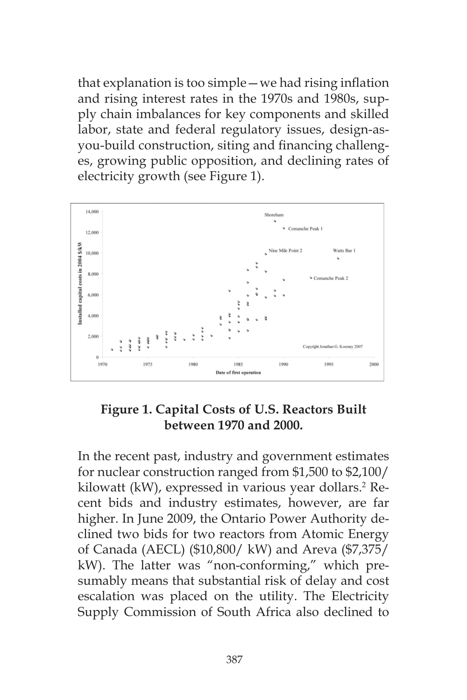that explanation is too simple—we had rising inflation and rising interest rates in the 1970s and 1980s, supply chain imbalances for key components and skilled labor, state and federal regulatory issues, design-asyou-build construction, siting and financing challenges, growing public opposition, and declining rates of electricity growth (see Figure 1).



## **Figure 1. Capital Costs of U.S. Reactors Built between 1970 and 2000.**

In the recent past, industry and government estimates for nuclear construction ranged from \$1,500 to \$2,100/ kilowatt (kW), expressed in various year dollars.<sup>2</sup> Recent bids and industry estimates, however, are far higher. In June 2009, the Ontario Power Authority declined two bids for two reactors from Atomic Energy of Canada (AECL) (\$10,800/ kW) and Areva (\$7,375/ kW). The latter was "non-conforming," which presumably means that substantial risk of delay and cost escalation was placed on the utility. The Electricity Supply Commission of South Africa also declined to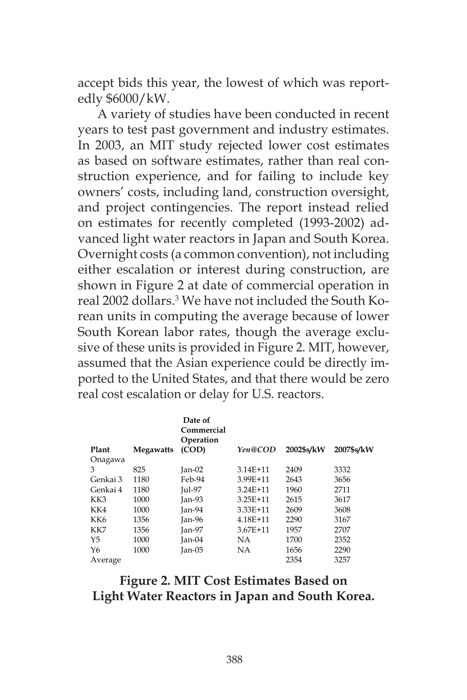accept bids this year, the lowest of which was reportedly \$6000/kW.

A variety of studies have been conducted in recent years to test past government and industry estimates. In 2003, an MIT study rejected lower cost estimates as based on software estimates, rather than real construction experience, and for failing to include key owners' costs, including land, construction oversight, and project contingencies. The report instead relied on estimates for recently completed (1993-2002) advanced light water reactors in Japan and South Korea. Overnight costs (a common convention), not including either escalation or interest during construction, are shown in Figure 2 at date of commercial operation in real 2002 dollars.3 We have not included the South Korean units in computing the average because of lower South Korean labor rates, though the average exclusive of these units is provided in Figure 2. MIT, however, assumed that the Asian experience could be directly imported to the United States, and that there would be zero real cost escalation or delay for U.S. reactors.

| Plant           | <b>Megawatts</b> | Date of<br>Commercial<br>Operation<br>(COD) | Yen@COD      | 2002\$s/kW | 2007\$s/kW |
|-----------------|------------------|---------------------------------------------|--------------|------------|------------|
| Onagawa         |                  |                                             |              |            |            |
| 3               | 825              | $Jan-02$                                    | $3.14E + 11$ | 2409       | 3332       |
| Genkai 3        | 1180             | Feb-94                                      | 3.99E+11     | 2643       | 3656       |
| Genkai 4        | 1180             | <b>Jul-97</b>                               | $3.24E+11$   | 1960       | 2711       |
| KK3             | 1000             | Ian-93                                      | $3.25E + 11$ | 2615       | 3617       |
| KK4             | 1000             | Jan-94                                      | $3.33E+11$   | 2609       | 3608       |
| KK <sub>6</sub> | 1356             | Jan-96                                      | $4.18E + 11$ | 2290       | 3167       |
| KK7             | 1356             | $Jan-97$                                    | $3.67E + 11$ | 1957       | 2707       |
| Y <sub>5</sub>  | 1000             | $Jan-04$                                    | NA.          | 1700       | 2352       |
| Y6              | 1000             | $Jan-05$                                    | NА           | 1656       | 2290       |
| Average         |                  |                                             |              | 2354       | 3257       |

## **Figure 2. MIT Cost Estimates Based on Light Water Reactors in Japan and South Korea.**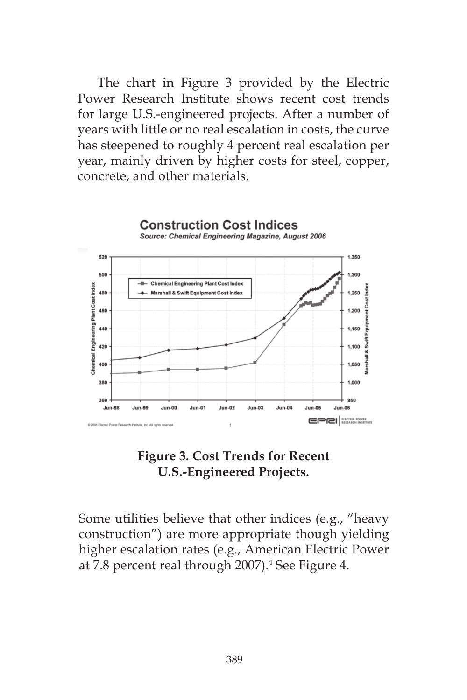The chart in Figure 3 provided by the Electric Power Research Institute shows recent cost trends for large U.S.-engineered projects. After a number of years with little or no real escalation in costs, the curve has steepened to roughly 4 percent real escalation per year, mainly driven by higher costs for steel, copper, concrete, and other materials.



**Figure 3. Cost Trends for Recent U.S.-Engineered Projects.**

Some utilities believe that other indices (e.g., "heavy construction") are more appropriate though yielding higher escalation rates (e.g., American Electric Power at 7.8 percent real through 2007).<sup>4</sup> See Figure 4.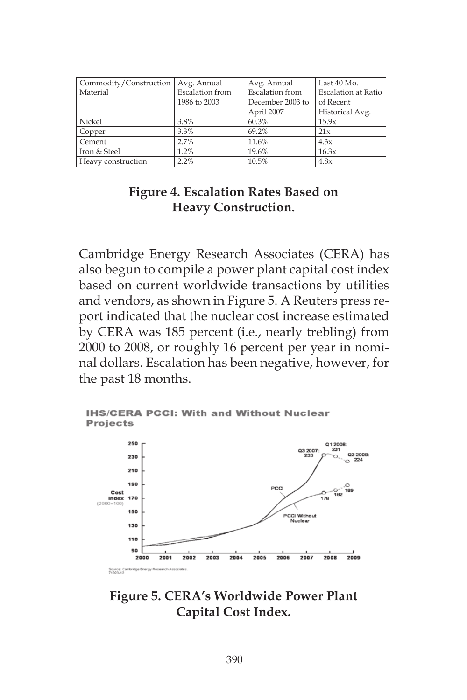| Commodity/Construction | Avg. Annual            | Avg. Annual            | Last 40 Mo.         |
|------------------------|------------------------|------------------------|---------------------|
|                        |                        |                        |                     |
| Material               | <b>Escalation</b> from | <b>Escalation</b> from | Escalation at Ratio |
|                        | 1986 to 2003           | December 2003 to       | of Recent           |
|                        |                        | April 2007             | Historical Avg.     |
| Nickel                 | 3.8%                   | 60.3%                  | 15.9x               |
| Copper                 | 3.3%                   | 69.2%                  | 21x                 |
| Cement                 | 2.7%                   | 11.6%                  | 4.3x                |
| Iron & Steel           | 1.2%                   | 19.6%                  | 16.3x               |
| Heavy construction     | 2.2%                   | 10.5%                  | 4.8x                |

## **Figure 4. Escalation Rates Based on Heavy Construction.**

Cambridge Energy Research Associates (CERA) has also begun to compile a power plant capital cost index based on current worldwide transactions by utilities and vendors, as shown in Figure 5. A Reuters press report indicated that the nuclear cost increase estimated by CERA was 185 percent (i.e., nearly trebling) from 2000 to 2008, or roughly 16 percent per year in nominal dollars. Escalation has been negative, however, for the past 18 months.



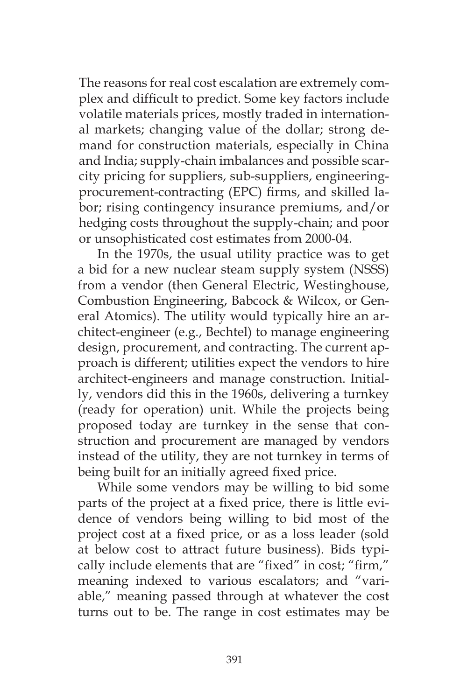The reasons for real cost escalation are extremely complex and difficult to predict. Some key factors include volatile materials prices, mostly traded in international markets; changing value of the dollar; strong demand for construction materials, especially in China and India; supply-chain imbalances and possible scarcity pricing for suppliers, sub-suppliers, engineeringprocurement-contracting (EPC) firms, and skilled labor; rising contingency insurance premiums, and/or hedging costs throughout the supply-chain; and poor or unsophisticated cost estimates from 2000-04.

In the 1970s, the usual utility practice was to get a bid for a new nuclear steam supply system (NSSS) from a vendor (then General Electric, Westinghouse, Combustion Engineering, Babcock & Wilcox, or General Atomics). The utility would typically hire an architect-engineer (e.g., Bechtel) to manage engineering design, procurement, and contracting. The current approach is different; utilities expect the vendors to hire architect-engineers and manage construction. Initially, vendors did this in the 1960s, delivering a turnkey (ready for operation) unit. While the projects being proposed today are turnkey in the sense that construction and procurement are managed by vendors instead of the utility, they are not turnkey in terms of being built for an initially agreed fixed price.

While some vendors may be willing to bid some parts of the project at a fixed price, there is little evidence of vendors being willing to bid most of the project cost at a fixed price, or as a loss leader (sold at below cost to attract future business). Bids typically include elements that are "fixed" in cost; "firm," meaning indexed to various escalators; and "variable," meaning passed through at whatever the cost turns out to be. The range in cost estimates may be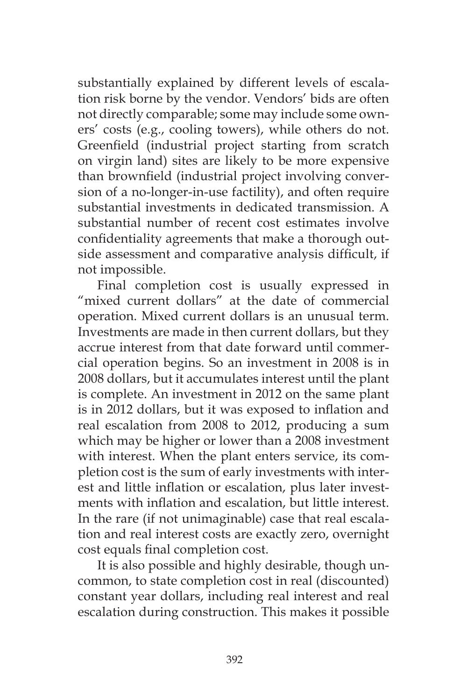substantially explained by different levels of escalation risk borne by the vendor. Vendors' bids are often not directly comparable; some may include some owners' costs (e.g., cooling towers), while others do not. Greenfield (industrial project starting from scratch on virgin land) sites are likely to be more expensive than brownfield (industrial project involving conversion of a no-longer-in-use factility), and often require substantial investments in dedicated transmission. A substantial number of recent cost estimates involve confidentiality agreements that make a thorough outside assessment and comparative analysis difficult, if not impossible.

Final completion cost is usually expressed in "mixed current dollars" at the date of commercial operation. Mixed current dollars is an unusual term. Investments are made in then current dollars, but they accrue interest from that date forward until commercial operation begins. So an investment in 2008 is in 2008 dollars, but it accumulates interest until the plant is complete. An investment in 2012 on the same plant is in 2012 dollars, but it was exposed to inflation and real escalation from 2008 to 2012, producing a sum which may be higher or lower than a 2008 investment with interest. When the plant enters service, its completion cost is the sum of early investments with interest and little inflation or escalation, plus later investments with inflation and escalation, but little interest. In the rare (if not unimaginable) case that real escalation and real interest costs are exactly zero, overnight cost equals final completion cost.

It is also possible and highly desirable, though uncommon, to state completion cost in real (discounted) constant year dollars, including real interest and real escalation during construction. This makes it possible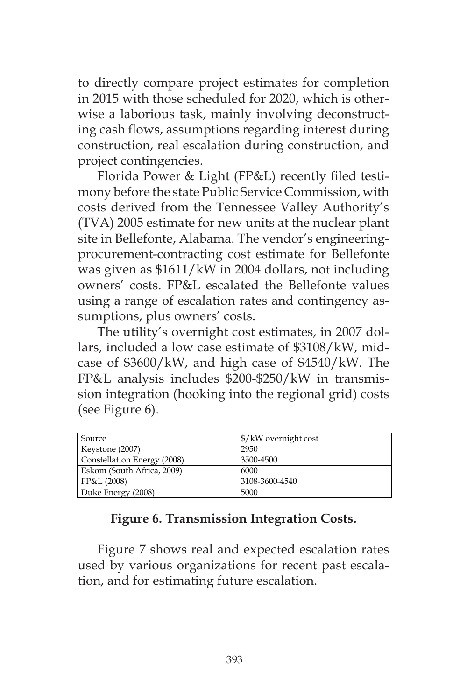to directly compare project estimates for completion in 2015 with those scheduled for 2020, which is otherwise a laborious task, mainly involving deconstructing cash flows, assumptions regarding interest during construction, real escalation during construction, and project contingencies.

Florida Power & Light (FP&L) recently filed testimony before the state Public Service Commission, with costs derived from the Tennessee Valley Authority's (TVA) 2005 estimate for new units at the nuclear plant site in Bellefonte, Alabama. The vendor's engineeringprocurement-contracting cost estimate for Bellefonte was given as \$1611/kW in 2004 dollars, not including owners' costs. FP&L escalated the Bellefonte values using a range of escalation rates and contingency assumptions, plus owners' costs.

The utility's overnight cost estimates, in 2007 dollars, included a low case estimate of \$3108/kW, midcase of \$3600/kW, and high case of \$4540/kW. The FP&L analysis includes \$200-\$250/kW in transmission integration (hooking into the regional grid) costs (see Figure 6).

| Source                      | \$/kW overnight cost |
|-----------------------------|----------------------|
| Keystone (2007)             | 2950                 |
| Constellation Energy (2008) | 3500-4500            |
| Eskom (South Africa, 2009)  | 6000                 |
| FP&L (2008)                 | 3108-3600-4540       |
| Duke Energy (2008)          | 5000                 |

## **Figure 6. Transmission Integration Costs.**

Figure 7 shows real and expected escalation rates used by various organizations for recent past escalation, and for estimating future escalation.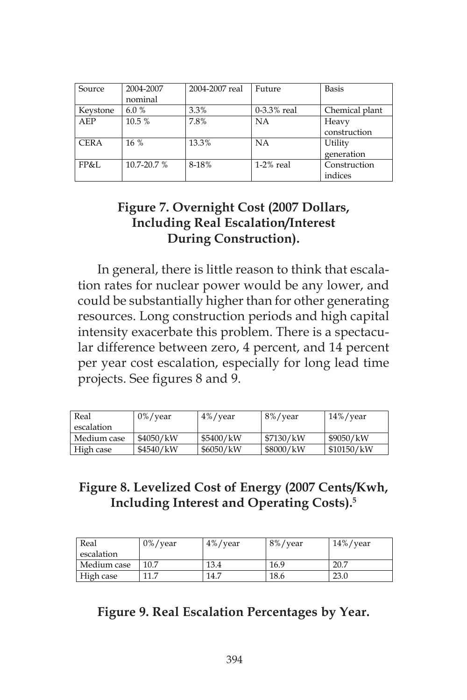| Source      | 2004-2007       | 2004-2007 real | Future      | <b>Basis</b>   |  |
|-------------|-----------------|----------------|-------------|----------------|--|
|             | nominal         |                |             |                |  |
| Keystone    | 6.0%            | 3.3%           | 0-3.3% real | Chemical plant |  |
| AEP         | 10.5 %          | 7.8%           | NΑ          | Heavy          |  |
|             |                 |                |             | construction   |  |
| <b>CERA</b> | 16%             | 13.3%          | NA          | Utility        |  |
|             |                 |                |             | generation     |  |
| FP&I.       | $10.7 - 20.7$ % | 8-18%          | $1-2%$ real | Construction   |  |
|             |                 |                |             | indices        |  |

# **Figure 7. Overnight Cost (2007 Dollars, Including Real Escalation/Interest During Construction).**

In general, there is little reason to think that escalation rates for nuclear power would be any lower, and could be substantially higher than for other generating resources. Long construction periods and high capital intensity exacerbate this problem. There is a spectacular difference between zero, 4 percent, and 14 percent per year cost escalation, especially for long lead time projects. See figures 8 and 9.

| Real        | $0\%$ /year | $4\%$ /year | 8%/year   | $14\%$ /year |
|-------------|-------------|-------------|-----------|--------------|
| escalation  |             |             |           |              |
| Medium case | \$4050/kW   | \$5400/kW   | \$7130/kW | \$9050/kW    |
| High case   | \$4540/kW   | \$6050/kW   | \$8000/kW | \$10150/kW   |

# **Figure 8. Levelized Cost of Energy (2007 Cents/Kwh, Including Interest and Operating Costs).5**

| Real        | $0\%$ /year | $4\%$ /year | 8%/year | $14\%$ /year |
|-------------|-------------|-------------|---------|--------------|
| escalation  |             |             |         |              |
| Medium case | 10.7        | 13.4        | 16.9    | 20.7         |
| High case   |             | 14.7        | 18.6    | 23.0         |

# **Figure 9. Real Escalation Percentages by Year.**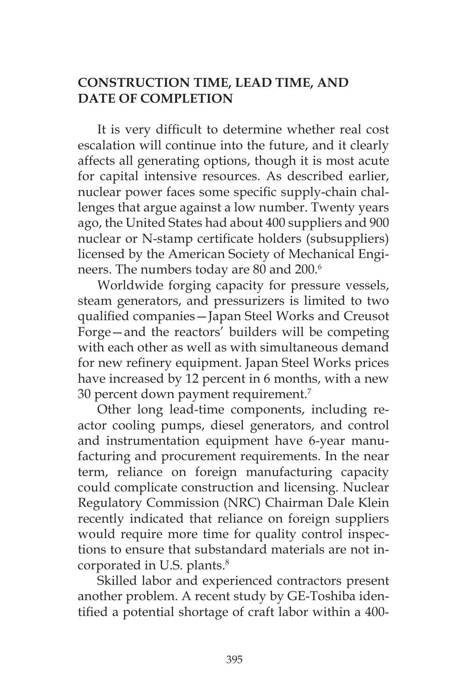## **CONSTRUCTION TIME, LEAD TIME, AND DATE OF COMPLETION**

It is very difficult to determine whether real cost escalation will continue into the future, and it clearly affects all generating options, though it is most acute for capital intensive resources. As described earlier, nuclear power faces some specific supply-chain challenges that argue against a low number. Twenty years ago, the United States had about 400 suppliers and 900 nuclear or N-stamp certificate holders (subsuppliers) licensed by the American Society of Mechanical Engineers. The numbers today are 80 and 200.<sup>6</sup>

Worldwide forging capacity for pressure vessels, steam generators, and pressurizers is limited to two qualified companies—Japan Steel Works and Creusot Forge—and the reactors' builders will be competing with each other as well as with simultaneous demand for new refinery equipment. Japan Steel Works prices have increased by 12 percent in 6 months, with a new 30 percent down payment requirement.7

Other long lead-time components, including reactor cooling pumps, diesel generators, and control and instrumentation equipment have 6-year manufacturing and procurement requirements. In the near term, reliance on foreign manufacturing capacity could complicate construction and licensing. Nuclear Regulatory Commission (NRC) Chairman Dale Klein recently indicated that reliance on foreign suppliers would require more time for quality control inspections to ensure that substandard materials are not incorporated in U.S. plants.<sup>8</sup>

Skilled labor and experienced contractors present another problem. A recent study by GE-Toshiba identified a potential shortage of craft labor within a 400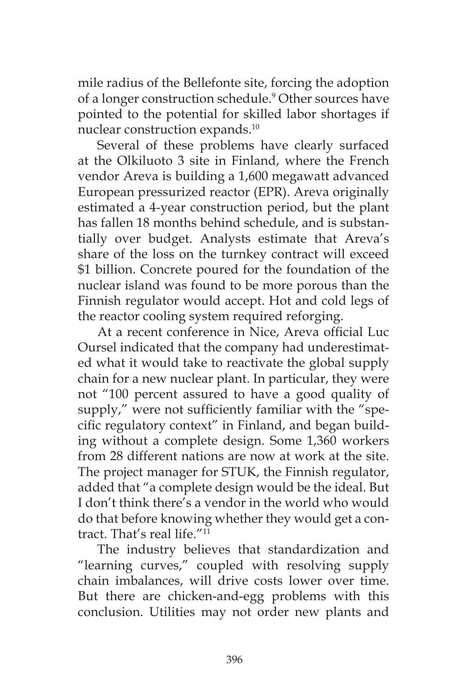mile radius of the Bellefonte site, forcing the adoption of a longer construction schedule.<sup>9</sup> Other sources have pointed to the potential for skilled labor shortages if nuclear construction expands.10

Several of these problems have clearly surfaced at the Olkiluoto 3 site in Finland, where the French vendor Areva is building a 1,600 megawatt advanced European pressurized reactor (EPR). Areva originally estimated a 4-year construction period, but the plant has fallen 18 months behind schedule, and is substantially over budget. Analysts estimate that Areva's share of the loss on the turnkey contract will exceed \$1 billion. Concrete poured for the foundation of the nuclear island was found to be more porous than the Finnish regulator would accept. Hot and cold legs of the reactor cooling system required reforging.

At a recent conference in Nice, Areva official Luc Oursel indicated that the company had underestimated what it would take to reactivate the global supply chain for a new nuclear plant. In particular, they were not "100 percent assured to have a good quality of supply," were not sufficiently familiar with the "specific regulatory context" in Finland, and began building without a complete design. Some 1,360 workers from 28 different nations are now at work at the site. The project manager for STUK, the Finnish regulator, added that "a complete design would be the ideal. But I don't think there's a vendor in the world who would do that before knowing whether they would get a contract. That's real life."<sup>11</sup>

The industry believes that standardization and "learning curves," coupled with resolving supply chain imbalances, will drive costs lower over time. But there are chicken-and-egg problems with this conclusion. Utilities may not order new plants and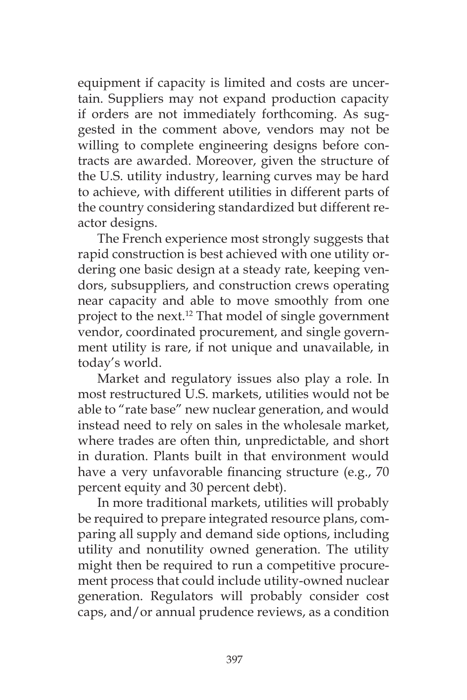equipment if capacity is limited and costs are uncertain. Suppliers may not expand production capacity if orders are not immediately forthcoming. As suggested in the comment above, vendors may not be willing to complete engineering designs before contracts are awarded. Moreover, given the structure of the U.S. utility industry, learning curves may be hard to achieve, with different utilities in different parts of the country considering standardized but different reactor designs.

The French experience most strongly suggests that rapid construction is best achieved with one utility ordering one basic design at a steady rate, keeping vendors, subsuppliers, and construction crews operating near capacity and able to move smoothly from one project to the next.<sup>12</sup> That model of single government vendor, coordinated procurement, and single government utility is rare, if not unique and unavailable, in today's world.

Market and regulatory issues also play a role. In most restructured U.S. markets, utilities would not be able to "rate base" new nuclear generation, and would instead need to rely on sales in the wholesale market, where trades are often thin, unpredictable, and short in duration. Plants built in that environment would have a very unfavorable financing structure (e.g., 70 percent equity and 30 percent debt).

In more traditional markets, utilities will probably be required to prepare integrated resource plans, comparing all supply and demand side options, including utility and nonutility owned generation. The utility might then be required to run a competitive procurement process that could include utility-owned nuclear generation. Regulators will probably consider cost caps, and/or annual prudence reviews, as a condition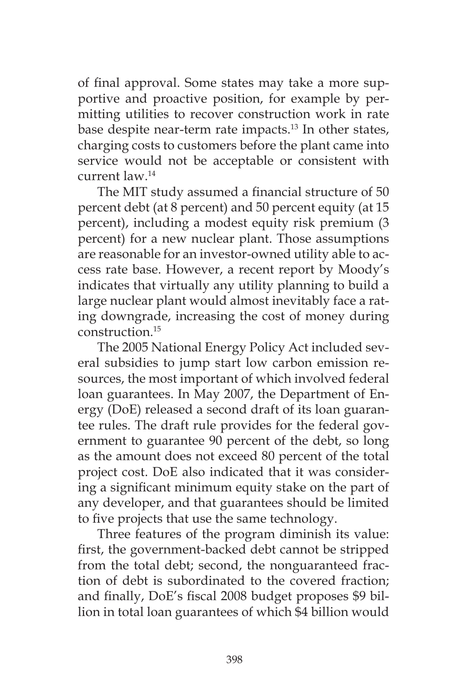of final approval. Some states may take a more supportive and proactive position, for example by permitting utilities to recover construction work in rate base despite near-term rate impacts.<sup>13</sup> In other states, charging costs to customers before the plant came into service would not be acceptable or consistent with current law.14

The MIT study assumed a financial structure of 50 percent debt (at 8 percent) and 50 percent equity (at 15 percent), including a modest equity risk premium (3 percent) for a new nuclear plant. Those assumptions are reasonable for an investor-owned utility able to access rate base. However, a recent report by Moody's indicates that virtually any utility planning to build a large nuclear plant would almost inevitably face a rating downgrade, increasing the cost of money during construction.15

The 2005 National Energy Policy Act included several subsidies to jump start low carbon emission resources, the most important of which involved federal loan guarantees. In May 2007, the Department of Energy (DoE) released a second draft of its loan guarantee rules. The draft rule provides for the federal government to guarantee 90 percent of the debt, so long as the amount does not exceed 80 percent of the total project cost. DoE also indicated that it was considering a significant minimum equity stake on the part of any developer, and that guarantees should be limited to five projects that use the same technology.

Three features of the program diminish its value: first, the government-backed debt cannot be stripped from the total debt; second, the nonguaranteed fraction of debt is subordinated to the covered fraction; and finally, DoE's fiscal 2008 budget proposes \$9 billion in total loan guarantees of which \$4 billion would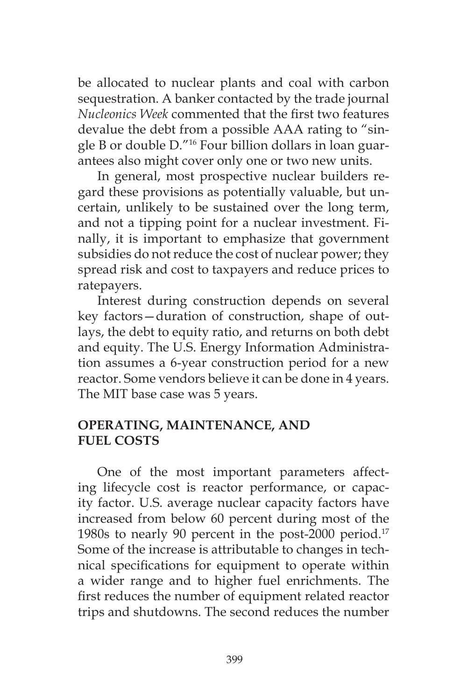be allocated to nuclear plants and coal with carbon sequestration. A banker contacted by the trade journal *Nucleonics Week* commented that the first two features devalue the debt from a possible AAA rating to "single B or double D."16 Four billion dollars in loan guarantees also might cover only one or two new units.

In general, most prospective nuclear builders regard these provisions as potentially valuable, but uncertain, unlikely to be sustained over the long term, and not a tipping point for a nuclear investment. Finally, it is important to emphasize that government subsidies do not reduce the cost of nuclear power; they spread risk and cost to taxpayers and reduce prices to ratepayers.

Interest during construction depends on several key factors—duration of construction, shape of outlays, the debt to equity ratio, and returns on both debt and equity. The U.S. Energy Information Administration assumes a 6-year construction period for a new reactor. Some vendors believe it can be done in 4 years. The MIT base case was 5 years.

## **OPERATING, MAINTENANCE, AND FUEL COSTS**

One of the most important parameters affecting lifecycle cost is reactor performance, or capacity factor. U.S. average nuclear capacity factors have increased from below 60 percent during most of the 1980s to nearly 90 percent in the post-2000 period.17 Some of the increase is attributable to changes in technical specifications for equipment to operate within a wider range and to higher fuel enrichments. The first reduces the number of equipment related reactor trips and shutdowns. The second reduces the number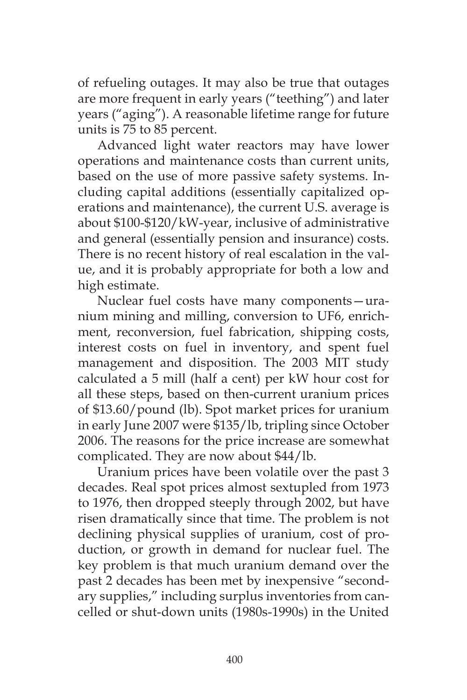of refueling outages. It may also be true that outages are more frequent in early years ("teething") and later years ("aging"). A reasonable lifetime range for future units is 75 to 85 percent.

Advanced light water reactors may have lower operations and maintenance costs than current units, based on the use of more passive safety systems. Including capital additions (essentially capitalized operations and maintenance), the current U.S. average is about \$100-\$120/kW-year, inclusive of administrative and general (essentially pension and insurance) costs. There is no recent history of real escalation in the value, and it is probably appropriate for both a low and high estimate.

Nuclear fuel costs have many components—uranium mining and milling, conversion to UF6, enrichment, reconversion, fuel fabrication, shipping costs, interest costs on fuel in inventory, and spent fuel management and disposition. The 2003 MIT study calculated a 5 mill (half a cent) per kW hour cost for all these steps, based on then-current uranium prices of \$13.60/pound (lb). Spot market prices for uranium in early June 2007 were \$135/lb, tripling since October 2006. The reasons for the price increase are somewhat complicated. They are now about \$44/lb.

Uranium prices have been volatile over the past 3 decades. Real spot prices almost sextupled from 1973 to 1976, then dropped steeply through 2002, but have risen dramatically since that time. The problem is not declining physical supplies of uranium, cost of production, or growth in demand for nuclear fuel. The key problem is that much uranium demand over the past 2 decades has been met by inexpensive "secondary supplies," including surplus inventories from cancelled or shut-down units (1980s-1990s) in the United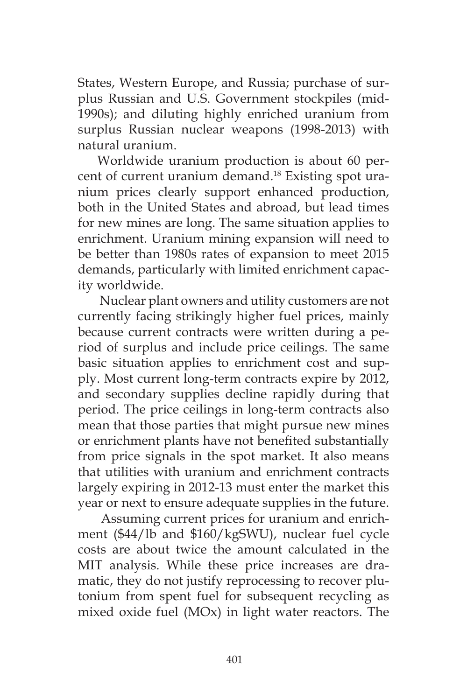States, Western Europe, and Russia; purchase of surplus Russian and U.S. Government stockpiles (mid-1990s); and diluting highly enriched uranium from surplus Russian nuclear weapons (1998-2013) with natural uranium.

Worldwide uranium production is about 60 percent of current uranium demand.18 Existing spot uranium prices clearly support enhanced production, both in the United States and abroad, but lead times for new mines are long. The same situation applies to enrichment. Uranium mining expansion will need to be better than 1980s rates of expansion to meet 2015 demands, particularly with limited enrichment capacity worldwide.

 Nuclear plant owners and utility customers are not currently facing strikingly higher fuel prices, mainly because current contracts were written during a period of surplus and include price ceilings. The same basic situation applies to enrichment cost and supply. Most current long-term contracts expire by 2012, and secondary supplies decline rapidly during that period. The price ceilings in long-term contracts also mean that those parties that might pursue new mines or enrichment plants have not benefited substantially from price signals in the spot market. It also means that utilities with uranium and enrichment contracts largely expiring in 2012-13 must enter the market this year or next to ensure adequate supplies in the future.

 Assuming current prices for uranium and enrichment (\$44/lb and \$160/kgSWU), nuclear fuel cycle costs are about twice the amount calculated in the MIT analysis. While these price increases are dramatic, they do not justify reprocessing to recover plutonium from spent fuel for subsequent recycling as mixed oxide fuel (MOx) in light water reactors. The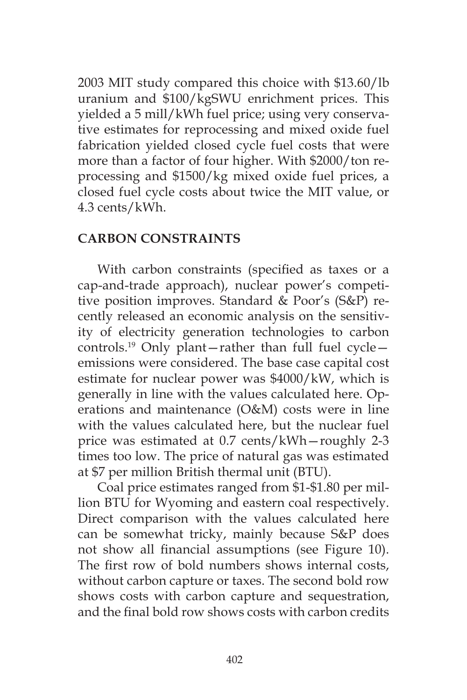2003 MIT study compared this choice with \$13.60/lb uranium and \$100/kgSWU enrichment prices. This yielded a 5 mill/kWh fuel price; using very conservative estimates for reprocessing and mixed oxide fuel fabrication yielded closed cycle fuel costs that were more than a factor of four higher. With \$2000/ton reprocessing and \$1500/kg mixed oxide fuel prices, a closed fuel cycle costs about twice the MIT value, or 4.3 cents/kWh.

#### **CARBON CONSTRAINTS**

With carbon constraints (specified as taxes or a cap-and-trade approach), nuclear power's competitive position improves. Standard & Poor's (S&P) recently released an economic analysis on the sensitivity of electricity generation technologies to carbon controls.19 Only plant—rather than full fuel cycle emissions were considered. The base case capital cost estimate for nuclear power was \$4000/kW, which is generally in line with the values calculated here. Operations and maintenance (O&M) costs were in line with the values calculated here, but the nuclear fuel price was estimated at 0.7 cents/kWh—roughly 2-3 times too low. The price of natural gas was estimated at \$7 per million British thermal unit (BTU).

Coal price estimates ranged from \$1-\$1.80 per million BTU for Wyoming and eastern coal respectively. Direct comparison with the values calculated here can be somewhat tricky, mainly because S&P does not show all financial assumptions (see Figure 10). The first row of bold numbers shows internal costs, without carbon capture or taxes. The second bold row shows costs with carbon capture and sequestration, and the final bold row shows costs with carbon credits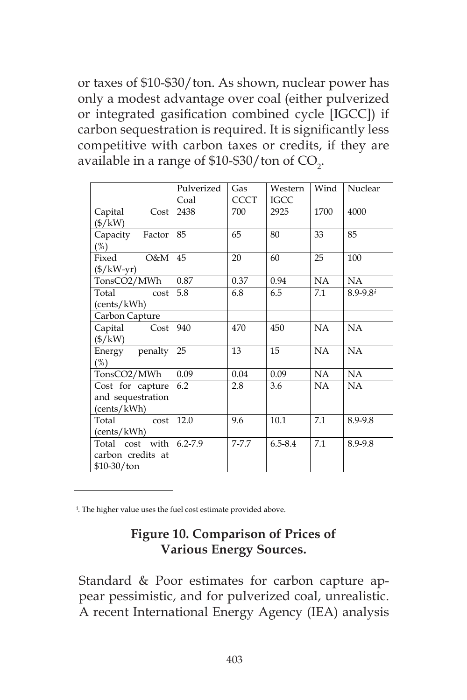or taxes of \$10-\$30/ton. As shown, nuclear power has only a modest advantage over coal (either pulverized or integrated gasification combined cycle [IGCC]) if carbon sequestration is required. It is significantly less competitive with carbon taxes or credits, if they are available in a range of \$10-\$30/ton of  $\text{CO}_2$ .

|                      | Pulverized  | Gas         | Western     | Wind | Nuclear      |
|----------------------|-------------|-------------|-------------|------|--------------|
|                      | Coal        | <b>CCCT</b> | IGCC        |      |              |
| Capital<br>Cost      | 2438        | 700         | 2925        | 1700 | 4000         |
| (\$/kW)              |             |             |             |      |              |
| Capacity<br>Factor   | 85          | 65          | 80          | 33   | 85           |
| $(\%)$               |             |             |             |      |              |
| O&M<br>Fixed         | 45          | 20          | 60          | 25   | 100          |
| $(\frac{f}{k}$ W-yr) |             |             |             |      |              |
| TonsCO2/MWh          | 0.87        | 0.37        | 0.94        | NA   | NA           |
| Total<br>cost        | 5.8         | 6.8         | 6.5         | 7.1  | $8.9 - 9.8i$ |
| (cents/kWh)          |             |             |             |      |              |
| Carbon Capture       |             |             |             |      |              |
| Capital<br>Cost      | 940         | 470         | 450         | NA   | NA           |
| $(\frac{5}{kW})$     |             |             |             |      |              |
| Energy penalty       | 25          | 13          | 15          | NA   | NA           |
| $(\%)$               |             |             |             |      |              |
| TonsCO2/MWh          | 0.09        | 0.04        | 0.09        | NA   | NA           |
| Cost for capture     | 6.2         | 2.8         | 3.6         | NA.  | NA           |
| and sequestration    |             |             |             |      |              |
| (cents/kWh)          |             |             |             |      |              |
| Total<br>cost        | 12.0        | 9.6         | 10.1        | 7.1  | 8.9-9.8      |
| (cents/kWh)          |             |             |             |      |              |
| Total cost with      | $6.2 - 7.9$ | $7 - 7.7$   | $6.5 - 8.4$ | 7.1  | 8.9-9.8      |
| carbon credits at    |             |             |             |      |              |
| $$10-30/t$ on        |             |             |             |      |              |

i . The higher value uses the fuel cost estimate provided above.

# **Figure 10. Comparison of Prices of Various Energy Sources.**

Standard & Poor estimates for carbon capture appear pessimistic, and for pulverized coal, unrealistic. A recent International Energy Agency (IEA) analysis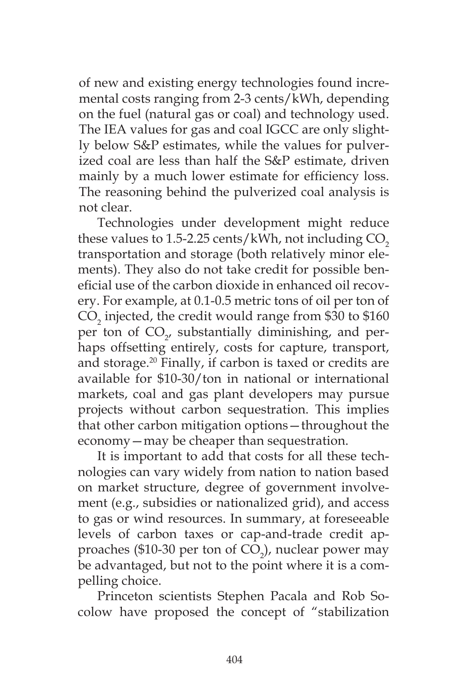of new and existing energy technologies found incremental costs ranging from 2-3 cents/kWh, depending on the fuel (natural gas or coal) and technology used. The IEA values for gas and coal IGCC are only slightly below S&P estimates, while the values for pulverized coal are less than half the S&P estimate, driven mainly by a much lower estimate for efficiency loss. The reasoning behind the pulverized coal analysis is not clear.

Technologies under development might reduce these values to  $1.5$ -2.25 cents/kWh, not including  $CO<sub>2</sub>$ transportation and storage (both relatively minor elements). They also do not take credit for possible beneficial use of the carbon dioxide in enhanced oil recovery. For example, at 0.1-0.5 metric tons of oil per ton of  $\rm CO_{2}$  injected, the credit would range from \$30 to \$160 per ton of  $CO_{2'}$  substantially diminishing, and perhaps offsetting entirely, costs for capture, transport, and storage.20 Finally, if carbon is taxed or credits are available for \$10-30/ton in national or international markets, coal and gas plant developers may pursue projects without carbon sequestration. This implies that other carbon mitigation options—throughout the economy—may be cheaper than sequestration.

It is important to add that costs for all these technologies can vary widely from nation to nation based on market structure, degree of government involvement (e.g., subsidies or nationalized grid), and access to gas or wind resources. In summary, at foreseeable levels of carbon taxes or cap-and-trade credit approaches (\$10-30 per ton of  $CO<sub>2</sub>$ ), nuclear power may be advantaged, but not to the point where it is a compelling choice.

Princeton scientists Stephen Pacala and Rob Socolow have proposed the concept of "stabilization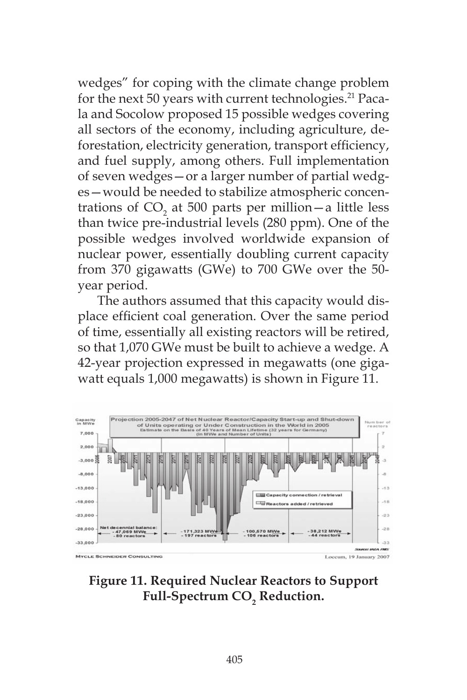wedges" for coping with the climate change problem for the next 50 years with current technologies.<sup>21</sup> Pacala and Socolow proposed 15 possible wedges covering all sectors of the economy, including agriculture, deforestation, electricity generation, transport efficiency, and fuel supply, among others. Full implementation of seven wedges—or a larger number of partial wedges—would be needed to stabilize atmospheric concentrations of  $CO<sub>2</sub>$  at 500 parts per million — a little less than twice pre-industrial levels (280 ppm). One of the possible wedges involved worldwide expansion of nuclear power, essentially doubling current capacity from 370 gigawatts (GWe) to 700 GWe over the 50 year period.

The authors assumed that this capacity would displace efficient coal generation. Over the same period of time, essentially all existing reactors will be retired, so that 1,070 GWe must be built to achieve a wedge. A 42-year projection expressed in megawatts (one gigawatt equals 1,000 megawatts) is shown in Figure 11.



**Figure 11. Required Nuclear Reactors to Support Full-Spectrum CO<sub>2</sub> Reduction.**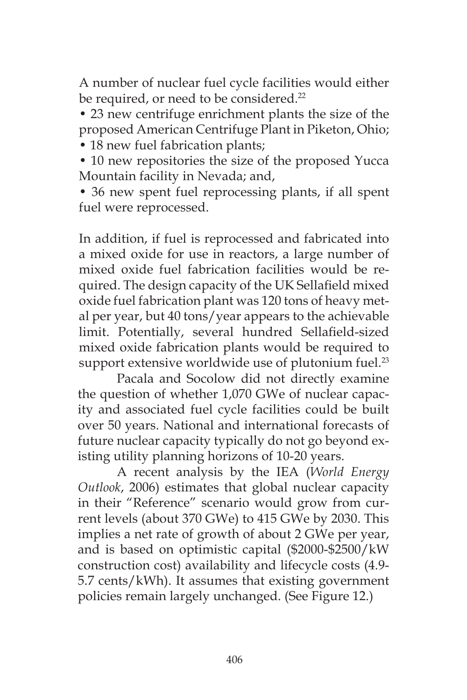A number of nuclear fuel cycle facilities would either be required, or need to be considered.<sup>22</sup>

• 23 new centrifuge enrichment plants the size of the proposed American Centrifuge Plant in Piketon, Ohio;

• 18 new fuel fabrication plants;

• 10 new repositories the size of the proposed Yucca Mountain facility in Nevada; and,

• 36 new spent fuel reprocessing plants, if all spent fuel were reprocessed.

In addition, if fuel is reprocessed and fabricated into a mixed oxide for use in reactors, a large number of mixed oxide fuel fabrication facilities would be required. The design capacity of the UK Sellafield mixed oxide fuel fabrication plant was 120 tons of heavy metal per year, but 40 tons/year appears to the achievable limit. Potentially, several hundred Sellafield-sized mixed oxide fabrication plants would be required to support extensive worldwide use of plutonium fuel.<sup>23</sup>

Pacala and Socolow did not directly examine the question of whether 1,070 GWe of nuclear capacity and associated fuel cycle facilities could be built over 50 years. National and international forecasts of future nuclear capacity typically do not go beyond existing utility planning horizons of 10-20 years.

A recent analysis by the IEA (*World Energy Outlook*, 2006) estimates that global nuclear capacity in their "Reference" scenario would grow from current levels (about 370 GWe) to 415 GWe by 2030. This implies a net rate of growth of about 2 GWe per year, and is based on optimistic capital (\$2000-\$2500/kW construction cost) availability and lifecycle costs (4.9- 5.7 cents/kWh). It assumes that existing government policies remain largely unchanged. (See Figure 12.)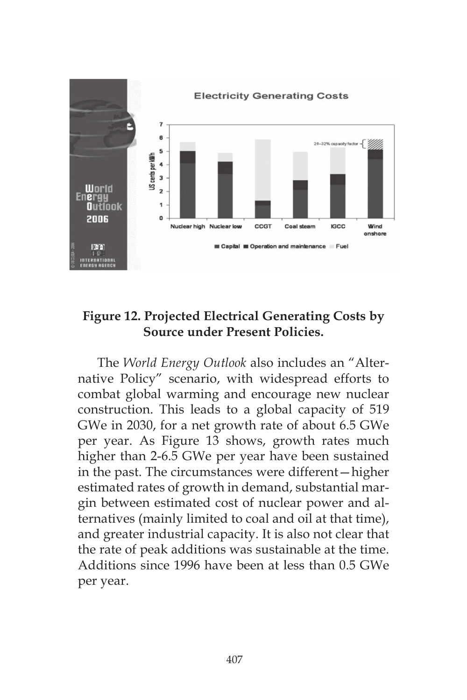

## **Figure 12. Projected Electrical Generating Costs by Source under Present Policies.**

The *World Energy Outlook* also includes an "Alternative Policy" scenario, with widespread efforts to combat global warming and encourage new nuclear construction. This leads to a global capacity of 519 GWe in 2030, for a net growth rate of about 6.5 GWe per year. As Figure 13 shows, growth rates much higher than 2-6.5 GWe per year have been sustained in the past. The circumstances were different—higher estimated rates of growth in demand, substantial margin between estimated cost of nuclear power and alternatives (mainly limited to coal and oil at that time), and greater industrial capacity. It is also not clear that the rate of peak additions was sustainable at the time. Additions since 1996 have been at less than 0.5 GWe per year.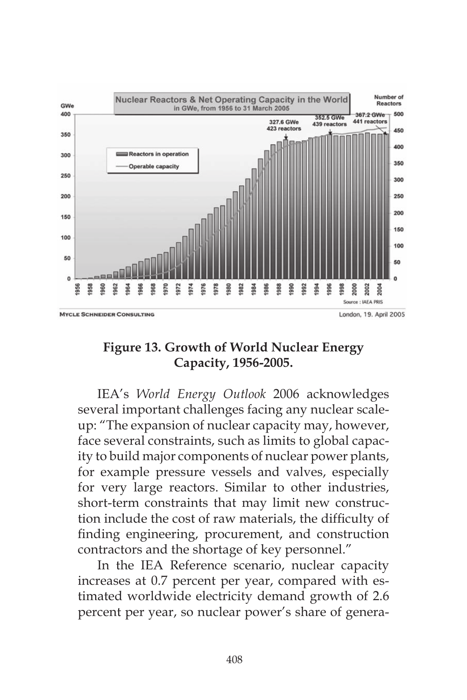

## **Figure 13. Growth of World Nuclear Energy Capacity, 1956-2005.**

IEA's *World Energy Outlook* 2006 acknowledges several important challenges facing any nuclear scaleup: "The expansion of nuclear capacity may, however, face several constraints, such as limits to global capacity to build major components of nuclear power plants, for example pressure vessels and valves, especially for very large reactors. Similar to other industries, short-term constraints that may limit new construction include the cost of raw materials, the difficulty of finding engineering, procurement, and construction contractors and the shortage of key personnel."

In the IEA Reference scenario, nuclear capacity increases at 0.7 percent per year, compared with estimated worldwide electricity demand growth of 2.6 percent per year, so nuclear power's share of genera-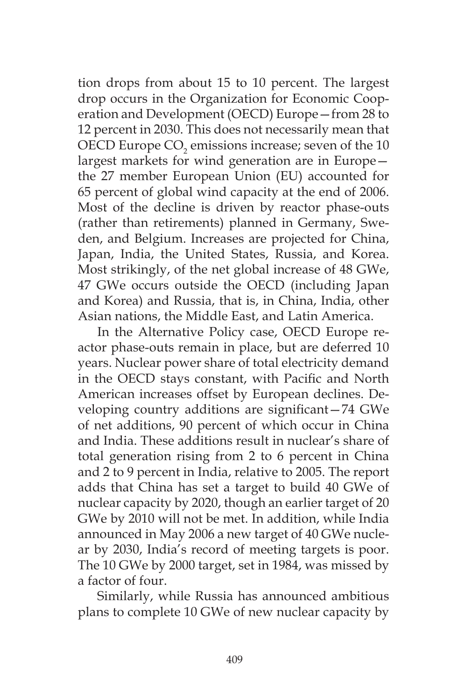tion drops from about 15 to 10 percent. The largest drop occurs in the Organization for Economic Cooperation and Development (OECD) Europe—from 28 to 12 percent in 2030. This does not necessarily mean that OECD Europe  $\mathrm{CO}_2$  emissions increase; seven of the 10 largest markets for wind generation are in Europe the 27 member European Union (EU) accounted for 65 percent of global wind capacity at the end of 2006. Most of the decline is driven by reactor phase-outs (rather than retirements) planned in Germany, Sweden, and Belgium. Increases are projected for China, Japan, India, the United States, Russia, and Korea. Most strikingly, of the net global increase of 48 GWe, 47 GWe occurs outside the OECD (including Japan and Korea) and Russia, that is, in China, India, other Asian nations, the Middle East, and Latin America.

In the Alternative Policy case, OECD Europe reactor phase-outs remain in place, but are deferred 10 years. Nuclear power share of total electricity demand in the OECD stays constant, with Pacific and North American increases offset by European declines. Developing country additions are significant—74 GWe of net additions, 90 percent of which occur in China and India. These additions result in nuclear's share of total generation rising from 2 to 6 percent in China and 2 to 9 percent in India, relative to 2005. The report adds that China has set a target to build 40 GWe of nuclear capacity by 2020, though an earlier target of 20 GWe by 2010 will not be met. In addition, while India announced in May 2006 a new target of 40 GWe nuclear by 2030, India's record of meeting targets is poor. The 10 GWe by 2000 target, set in 1984, was missed by a factor of four.

Similarly, while Russia has announced ambitious plans to complete 10 GWe of new nuclear capacity by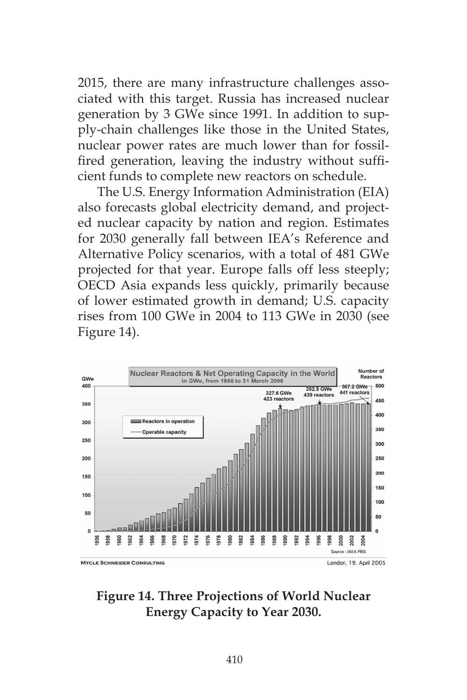2015, there are many infrastructure challenges associated with this target. Russia has increased nuclear generation by 3 GWe since 1991. In addition to supply-chain challenges like those in the United States, nuclear power rates are much lower than for fossilfired generation, leaving the industry without sufficient funds to complete new reactors on schedule.

The U.S. Energy Information Administration (EIA) also forecasts global electricity demand, and projected nuclear capacity by nation and region. Estimates for 2030 generally fall between IEA's Reference and Alternative Policy scenarios, with a total of 481 GWe projected for that year. Europe falls off less steeply; OECD Asia expands less quickly, primarily because of lower estimated growth in demand; U.S. capacity rises from 100 GWe in 2004 to 113 GWe in 2030 (see Figure 14).



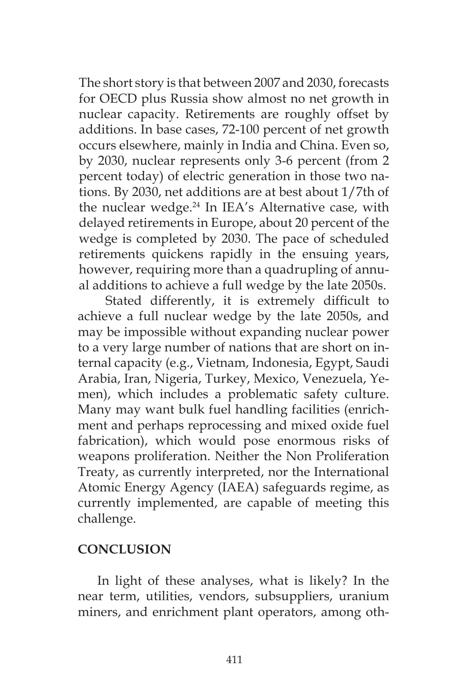The short story is that between 2007 and 2030, forecasts for OECD plus Russia show almost no net growth in nuclear capacity. Retirements are roughly offset by additions. In base cases, 72-100 percent of net growth occurs elsewhere, mainly in India and China. Even so, by 2030, nuclear represents only 3-6 percent (from 2 percent today) of electric generation in those two nations. By 2030, net additions are at best about 1/7th of the nuclear wedge.24 In IEA's Alternative case, with delayed retirements in Europe, about 20 percent of the wedge is completed by 2030. The pace of scheduled retirements quickens rapidly in the ensuing years, however, requiring more than a quadrupling of annual additions to achieve a full wedge by the late 2050s.

 Stated differently, it is extremely difficult to achieve a full nuclear wedge by the late 2050s, and may be impossible without expanding nuclear power to a very large number of nations that are short on internal capacity (e.g., Vietnam, Indonesia, Egypt, Saudi Arabia, Iran, Nigeria, Turkey, Mexico, Venezuela, Yemen), which includes a problematic safety culture. Many may want bulk fuel handling facilities (enrichment and perhaps reprocessing and mixed oxide fuel fabrication), which would pose enormous risks of weapons proliferation. Neither the Non Proliferation Treaty, as currently interpreted, nor the International Atomic Energy Agency (IAEA) safeguards regime, as currently implemented, are capable of meeting this challenge.

### **CONCLUSION**

In light of these analyses, what is likely? In the near term, utilities, vendors, subsuppliers, uranium miners, and enrichment plant operators, among oth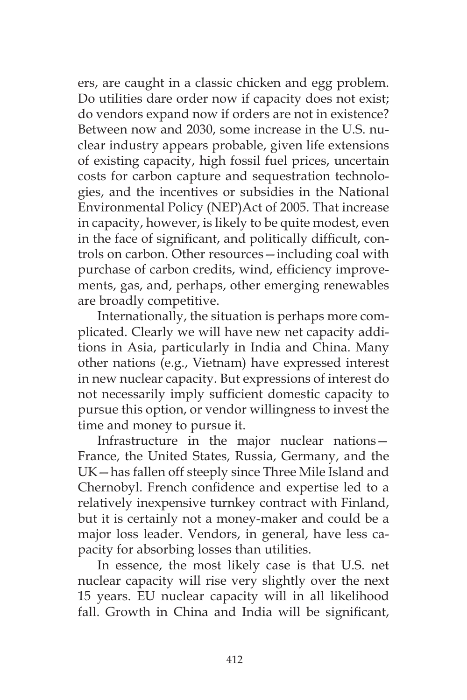ers, are caught in a classic chicken and egg problem. Do utilities dare order now if capacity does not exist; do vendors expand now if orders are not in existence? Between now and 2030, some increase in the U.S. nuclear industry appears probable, given life extensions of existing capacity, high fossil fuel prices, uncertain costs for carbon capture and sequestration technologies, and the incentives or subsidies in the National Environmental Policy (NEP)Act of 2005. That increase in capacity, however, is likely to be quite modest, even in the face of significant, and politically difficult, controls on carbon. Other resources—including coal with purchase of carbon credits, wind, efficiency improvements, gas, and, perhaps, other emerging renewables are broadly competitive.

Internationally, the situation is perhaps more complicated. Clearly we will have new net capacity additions in Asia, particularly in India and China. Many other nations (e.g., Vietnam) have expressed interest in new nuclear capacity. But expressions of interest do not necessarily imply sufficient domestic capacity to pursue this option, or vendor willingness to invest the time and money to pursue it.

Infrastructure in the major nuclear nations— France, the United States, Russia, Germany, and the UK—has fallen off steeply since Three Mile Island and Chernobyl. French confidence and expertise led to a relatively inexpensive turnkey contract with Finland, but it is certainly not a money-maker and could be a major loss leader. Vendors, in general, have less capacity for absorbing losses than utilities.

In essence, the most likely case is that U.S. net nuclear capacity will rise very slightly over the next 15 years. EU nuclear capacity will in all likelihood fall. Growth in China and India will be significant,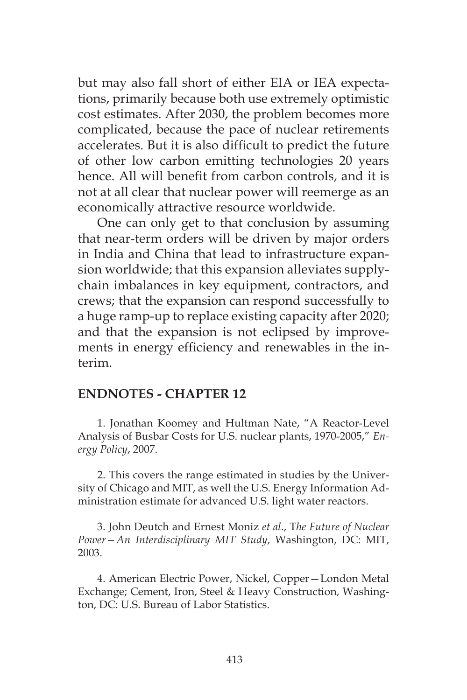but may also fall short of either EIA or IEA expectations, primarily because both use extremely optimistic cost estimates. After 2030, the problem becomes more complicated, because the pace of nuclear retirements accelerates. But it is also difficult to predict the future of other low carbon emitting technologies 20 years hence. All will benefit from carbon controls, and it is not at all clear that nuclear power will reemerge as an economically attractive resource worldwide.

One can only get to that conclusion by assuming that near-term orders will be driven by major orders in India and China that lead to infrastructure expansion worldwide; that this expansion alleviates supplychain imbalances in key equipment, contractors, and crews; that the expansion can respond successfully to a huge ramp-up to replace existing capacity after 2020; and that the expansion is not eclipsed by improvements in energy efficiency and renewables in the interim.

#### **ENDNOTES - CHAPTER 12**

1. Jonathan Koomey and Hultman Nate, "A Reactor-Level Analysis of Busbar Costs for U.S. nuclear plants, 1970-2005," *Energy Policy*, 2007.

2. This covers the range estimated in studies by the University of Chicago and MIT, as well the U.S. Energy Information Administration estimate for advanced U.S. light water reactors.

3. John Deutch and Ernest Moniz *et al*., T*he Future of Nuclear Power—An Interdisciplinary MIT Study*, Washington, DC: MIT, 2003.

4. American Electric Power, Nickel, Copper—London Metal Exchange; Cement, Iron, Steel & Heavy Construction, Washington, DC: U.S. Bureau of Labor Statistics.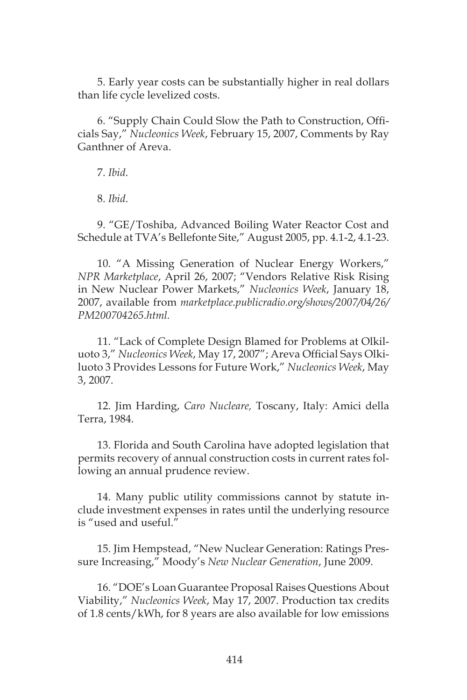5. Early year costs can be substantially higher in real dollars than life cycle levelized costs.

6. "Supply Chain Could Slow the Path to Construction, Officials Say," *Nucleonics Week*, February 15, 2007, Comments by Ray Ganthner of Areva.

7. *Ibid*.

8. *Ibid*.

9. "GE/Toshiba, Advanced Boiling Water Reactor Cost and Schedule at TVA's Bellefonte Site," August 2005, pp. 4.1-2, 4.1-23.

10. "A Missing Generation of Nuclear Energy Workers," *NPR Marketplace*, April 26, 2007; "Vendors Relative Risk Rising in New Nuclear Power Markets," *Nucleonics Week*, January 18, 2007, available from *marketplace.publicradio.org/shows/2007/04/26/ PM200704265.html.*

11. "Lack of Complete Design Blamed for Problems at Olkiluoto 3," *Nucleonics Week*, May 17, 2007"; Areva Official Says Olkiluoto 3 Provides Lessons for Future Work," *Nucleonics Week*, May 3, 2007.

12. Jim Harding, *Caro Nucleare,* Toscany, Italy: Amici della Terra, 1984.

13. Florida and South Carolina have adopted legislation that permits recovery of annual construction costs in current rates following an annual prudence review.

14. Many public utility commissions cannot by statute include investment expenses in rates until the underlying resource is "used and useful."

15. Jim Hempstead, "New Nuclear Generation: Ratings Pressure Increasing," Moody's *New Nuclear Generation*, June 2009.

16. "DOE's Loan Guarantee Proposal Raises Questions About Viability," *Nucleonics Week*, May 17, 2007. Production tax credits of 1.8 cents/kWh, for 8 years are also available for low emissions